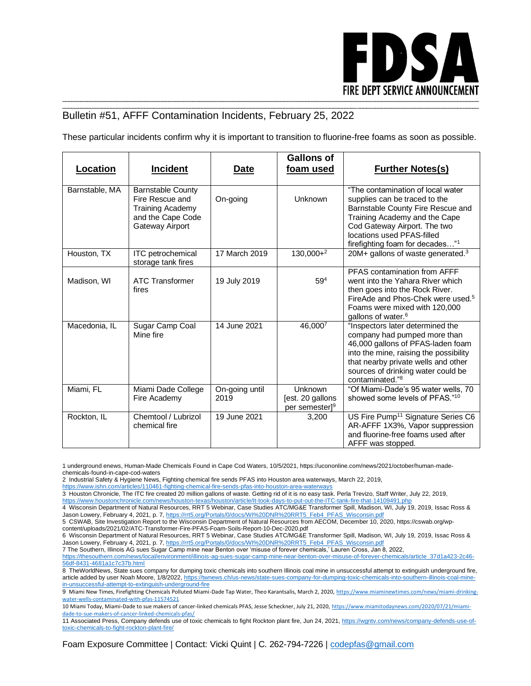

## \_\_\_\_\_\_\_\_\_\_\_\_\_\_\_\_\_\_\_\_\_\_\_\_\_\_\_\_\_\_\_\_\_\_\_\_\_\_\_\_\_\_\_\_\_\_\_\_\_\_\_\_\_\_\_\_\_\_\_\_\_\_\_\_\_\_\_\_\_\_\_\_\_\_\_\_\_\_\_\_\_\_\_\_\_\_\_\_\_\_\_\_\_\_\_\_\_\_\_\_\_\_\_\_\_\_\_\_\_\_\_\_\_\_\_\_\_\_\_\_\_\_\_\_\_\_\_\_\_\_\_\_\_\_\_\_\_ Bulletin #51, AFFF Contamination Incidents, February 25, 2022

These particular incidents confirm why it is important to transition to fluorine-free foams as soon as possible.

| <b>Location</b> | <b>Incident</b>                                                                                                | Date                   | <b>Gallons of</b><br>foam used                            | <b>Further Notes(s)</b>                                                                                                                                                                                                                                     |
|-----------------|----------------------------------------------------------------------------------------------------------------|------------------------|-----------------------------------------------------------|-------------------------------------------------------------------------------------------------------------------------------------------------------------------------------------------------------------------------------------------------------------|
| Barnstable, MA  | <b>Barnstable County</b><br>Fire Rescue and<br><b>Training Academy</b><br>and the Cape Code<br>Gateway Airport | On-going               | <b>Unknown</b>                                            | "The contamination of local water<br>supplies can be traced to the<br>Barnstable County Fire Rescue and<br>Training Academy and the Cape<br>Cod Gateway Airport. The two<br>locations used PFAS-filled<br>firefighting foam for decades"1                   |
| Houston, TX     | <b>ITC</b> petrochemical<br>storage tank fires                                                                 | 17 March 2019          | $130,000+^2$                                              | 20M+ gallons of waste generated. $3$                                                                                                                                                                                                                        |
| Madison, WI     | <b>ATC Transformer</b><br>fires                                                                                | 19 July 2019           | 59 <sup>4</sup>                                           | PFAS contamination from AFFF<br>went into the Yahara River which<br>then goes into the Rock River.<br>FireAde and Phos-Chek were used. <sup>5</sup><br>Foams were mixed with 120,000<br>gallons of water. <sup>6</sup>                                      |
| Macedonia, IL   | Sugar Camp Coal<br>Mine fire                                                                                   | 14 June 2021           | 46,0007                                                   | "Inspectors later determined the<br>company had pumped more than<br>46,000 gallons of PFAS-laden foam<br>into the mine, raising the possibility<br>that nearby private wells and other<br>sources of drinking water could be<br>contaminated." <sup>8</sup> |
| Miami, FL       | Miami Dade College<br>Fire Academy                                                                             | On-going until<br>2019 | Unknown<br>[est. 20 gallons<br>per semester] <sup>9</sup> | "Of Miami-Dade's 95 water wells, 70<br>showed some levels of PFAS."10                                                                                                                                                                                       |
| Rockton, IL     | Chemtool / Lubrizol<br>chemical fire                                                                           | 19 June 2021           | 3,200                                                     | US Fire Pump <sup>11</sup> Signature Series C6<br>AR-AFFF 1X3%, Vapor suppression<br>and fluorine-free foams used after<br>AFFF was stopped.                                                                                                                |

1 underground enews, Human-Made Chemicals Found in Cape Cod Waters, 10/5/2021, https://ucononline.com/news/2021/october/human-madechemicals-found-in-cape-cod-waters

2 Industrial Safety & Hygiene News, Fighting chemical fire sends PFAS into Houston area waterways, March 22, 2019,

<https://www.ishn.com/articles/110461-fighting-chemical-fire-sends-pfas-into-houston-area-waterways>

3 Houston Chronicle, [The ITC fire created 20 million gallons of waste. Getting rid of it is no easy task. Perla Trevizo, Staff Writer, July 22, 2019,](https://www.houstonchronicle.com/news/houston-texas/houston/article/It-took-days-to-put-out-the-ITC-tank-fire-that-14109491.php) 

<https://www.houstonchronicle.com/news/houston-texas/houston/article/It-took-days-to-put-out-the-ITC-tank-fire-that-14109491.php>

4 Wisconsin Department of Natural Resources, RRT 5 Webinar, Case Studies ATC/MG&E Transformer Spill, Madison, WI, July 19, 2019, Issac Ross & Jason Lowery, February 4, 2021, p. 7, [https://rrt5.org/Portals/0/docs/WI%20DNR%20RRT5\\_Feb4\\_PFAS\\_Wisconsin.pdf](https://rrt5.org/Portals/0/docs/WI%20DNR%20RRT5_Feb4_PFAS_Wisconsin.pdf)

5 CSWAB, Site Investigation Report to the Wisconsin Department of Natural Resources from AECOM, December 10, 2020, https://cswab.org/wpcontent/uploads/2021/02/ATC-Transformer-Fire-PFAS-Foam-Soils-Report-10-Dec-2020.pdf

6 Wisconsin Department of Natural Resources, RRT 5 Webinar, Case Studies ATC/MG&E Transformer Spill, Madison, WI, July 19, 2019, Issac Ross & Jason Lowery, February 4, 2021, p. 7, [https://rrt5.org/Portals/0/docs/WI%20DNR%20RRT5\\_Feb4\\_PFAS\\_Wisconsin.pdf](https://rrt5.org/Portals/0/docs/WI%20DNR%20RRT5_Feb4_PFAS_Wisconsin.pdf)

7 The Southern, Illinois AG sues Sugar Camp mine near Benton over 'misuse of forever chemicals,' Lauren Cross, Jan 8, 2022, [https://thesouthern.com/news/local/environment/illinois-ag-sues-sugar-camp-mine-near-benton-over-misuse-of-forever-chemicals/article\\_37d1a423-2c46-](https://thesouthern.com/news/local/environment/illinois-ag-sues-sugar-camp-mine-near-benton-over-misuse-of-forever-chemicals/article_37d1a423-2c46-56df-8431-4681a1c7c37b.html)

[56df-8431-4681a1c7c37b.html](https://thesouthern.com/news/local/environment/illinois-ag-sues-sugar-camp-mine-near-benton-over-misuse-of-forever-chemicals/article_37d1a423-2c46-56df-8431-4681a1c7c37b.html)

8 TheWorldNews, State sues company for dumping toxic chemicals into southern Illinois coal mine in unsuccessful attempt to extinguish underground fire, article added by user Noah Moore, 1/8/2022[, https://twnews.ch/us-news/state-sues-company-for-dumping-toxic-chemicals-into-southern-illinois-coal-mine](https://twnews.ch/us-news/state-sues-company-for-dumping-toxic-chemicals-into-southern-illinois-coal-mine-in-unsuccessful-attempt-to-extinguish-underground-fire)[in-unsuccessful-attempt-to-extinguish-underground-fire](https://twnews.ch/us-news/state-sues-company-for-dumping-toxic-chemicals-into-southern-illinois-coal-mine-in-unsuccessful-attempt-to-extinguish-underground-fire)

9 Miami New Times, Firefighting Chemicals Polluted Miami-Dade Tap Water, Theo Karantsalis, March 2, 2020[, https://www.miaminewtimes.com/news/miami-drinking](https://www.miaminewtimes.com/news/miami-drinking-water-wells-contaminated-with-pfas-11574521)[water-wells-contaminated-with-pfas-11574521](https://www.miaminewtimes.com/news/miami-drinking-water-wells-contaminated-with-pfas-11574521)

10 Miami Today, Miami-Dade to sue makers of cancer-linked chemicals PFAS, Jesse Scheckner, July 21, 2020[, https://www.miamitodaynews.com/2020/07/21/miami](https://www.miamitodaynews.com/2020/07/21/miami-dade-to-sue-makers-of-cancer-linked-chemicals-pfas/)[dade-to-sue-makers-of-cancer-linked-chemicals-pfas/](https://www.miamitodaynews.com/2020/07/21/miami-dade-to-sue-makers-of-cancer-linked-chemicals-pfas/)

11 Associated Press, Company defends use of toxic chemicals to fight Rockton plant fire, Jun 24, 2021[, https://wgntv.com/news/company-defends-use-of](https://wgntv.com/news/company-defends-use-of-toxic-chemicals-to-fight-rockton-plant-fire/)[toxic-chemicals-to-fight-rockton-plant-fire/](https://wgntv.com/news/company-defends-use-of-toxic-chemicals-to-fight-rockton-plant-fire/)

Foam Exposure Committee | Contact: Vicki Quint | C. 262-794-7226 | [codepfas@gmail.com](mailto:codepfas@gmail.com)